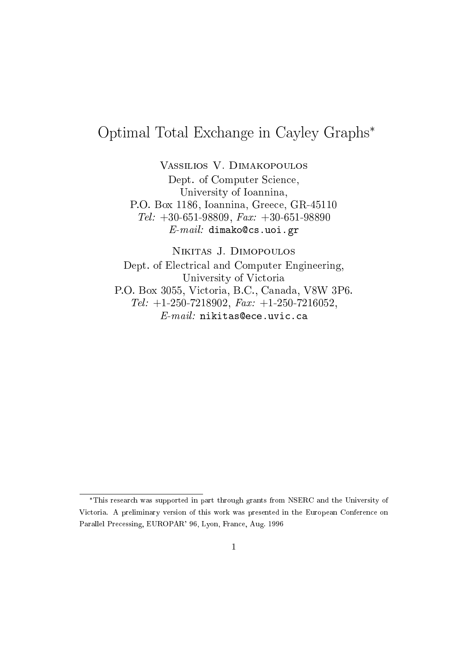# Optimal Total Ex
hange in Cayley Graphs

Vassilios V. Dimakopoulos

Dept. of Computer S
ien
e, University of Ioannina, P.O. Box 1186, Ioannina, Gree
e, GR-45110 Tel:  $+30-651-98809$ , Fax:  $+30-651-98890$  $E$ - $mail:$  dimako@cs.uoi.gr

Nikitas J. Dimopoulos

Dept. of Ele
tri
al and Computer Engineering, university of the view of  $\sim$ P.O. Box 3055, Vi
toria, B.C., Canada, V8W 3P6. Tel:  $+1-250-7218902$ ,  $Fax: +1-250-7216052$ ,  $E$ - $mail:$  nikitas@ece.uvic.ca

This resear
h was supported in part through grants from NSERC and the University of Victoria. A preliminary version of this work was presented in the European Conference on Parallel Pre
essing, EUROPAR' 96, Lyon, Fran
e, Aug. 1996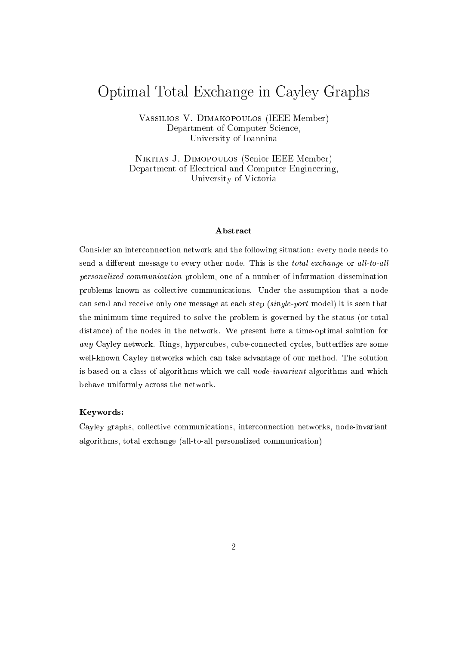## Optimal Total Ex
hange in Cayley Graphs

Vassilios V. Dimakopoulos (IEEE Member) Department of Computer Science, University of Ioannina

Nikitas J. Dimopoulos (Senior IEEE Member) Department of Electrical and Computer Engineering, University of Victoria

#### Abstra
t

Consider an inter
onne
tion network and the following situation: every node needs to send a different message to every other node. This is the total exchange or all-to-all personalized ommuni
ation problem, one of a number of information dissemination problems known as collective communications. Under the assumption that a node can send and receive only one message at each step (single-port model) it is seen that the minimum time required to solve the problem is governed by the status (or total distan
e) of the nodes in the network. We present here a time-optimal solution for any Cayley network. Rings, hypercubes, cube-connected cycles, butterflies are some well-known Cayley networks which can take advantage of our method. The solution is based on a class of algorithms which we call *node-invariant* algorithms and which behave uniformly across the network.

#### Keywords:

Cayley graphs, olle
tive ommuni
ations, inter
onne
tion networks, node-invariant algorithms, total ex
hange (all-to-all personalized ommuni
ation)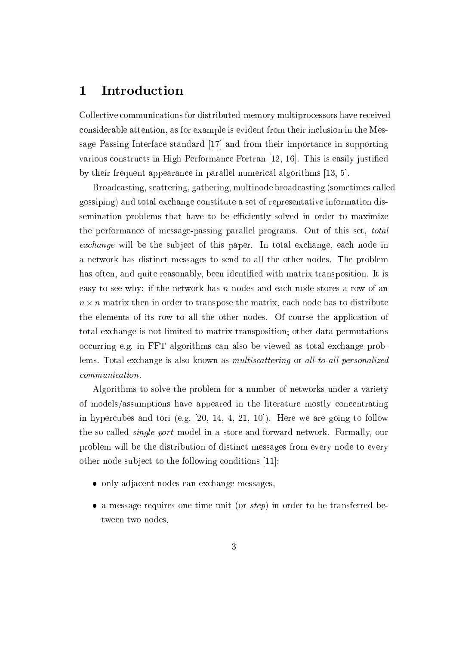### 1 Introduction

Colle
tive ommuni
ations for distributed-memory multipro
essors have re
eived onsiderable attention, as for example is evident from their in
lusion in the Message Passing Interface standard  $\left|17\right|$  and from their importance in supporting various constructs in High Performance Fortran  $[12, 16]$ . This is easily justified by their frequent appearance in parallel numerical algorithms [13, 5].

Broad
asting, s
attering, gathering, multinode broad
asting (sometimes alled gossiping) and total ex
hange onstitute a set of representative information dissemination problems that have to be efficiently solved in order to maximize the performan
e of message-passing parallel programs. Out of this set, total exchange will be the subject of this paper. In total exchange, each node in a network has distin
t messages to send to all the other nodes. The problem has often, and quite reasonably, been identified with matrix transposition. It is easy to see why: if the network has  $n$  nodes and each node stores a row of an n - - - **no**minative then in order to the matrix, each including the matrix, each in the matrix, which the elements of its row to all the other nodes. Of ourse the appli
ation of total ex
hange is not limited to matrix transposition; other data permutations occurring e.g. in FFT algorithms can also be viewed as total exchange problems. Total exchange is also known as *multiscattering* or all-to-all personalized ommuni
ation.

Algorithms to solve the problem for a number of networks under a variety of models/assumptions have appeared in the literature mostly concentrating in hypercubes and tori (e.g.  $[20, 14, 4, 21, 10]$ ). Here we are going to follow the so-called *single-port* model in a store-and-forward network. Formally, our problem will be the distribution of distin
t messages from every node to every other node subject to the following conditions [11]:

- only adjacent nodes can exchange messages.
- a message requires one time unit (or *step*) in order to be transferred between two nodes,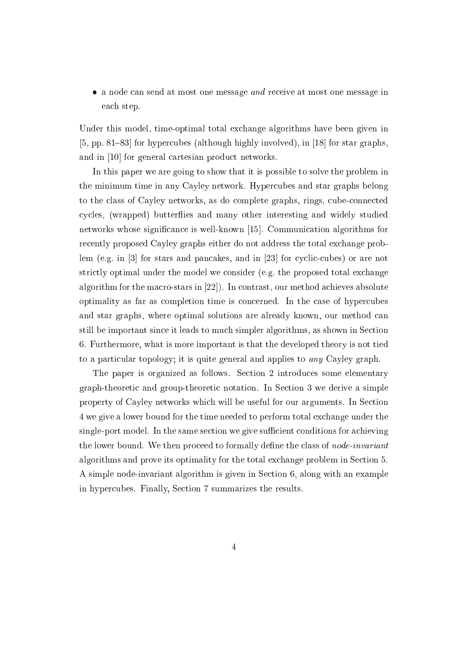• a node can send at most one message and receive at most one message in ea
h step.

Under this model, time-optimal total ex
hange algorithms have been given in  $[5, pp. 81–83]$  for hypercubes (although highly involved), in [18] for star graphs, and in [10] for general cartesian product networks.

In this paper we are going to show that it is possible to solve the problem in the minimum time in any Cayley network. Hyper
ubes and star graphs belong to the class of Cayley networks, as do complete graphs, rings, cube-connected cycles, (wrapped) butterflies and many other interesting and widely studied networks whose significance is well-known  $[15]$ . Communication algorithms for re
ently proposed Cayley graphs either do not address the total ex
hange problem (e.g. in  $[3]$  for stars and pancakes, and in  $[23]$  for cyclic-cubes) or are not strictly optimal under the model we consider (e.g. the proposed total exchange algorithm for the macro-stars in  $[22]$ . In contrast, our method achieves absolute optimality as far as ompletion time is on
erned. In the ase of hyper
ubes and star graphs, where optimal solutions are already known, our method an still be important sin
e it leads to mu
h simpler algorithms, as shown in Se
tion 6. Furthermore, what is more important is that the developed theory is not tied to a particular topology; it is quite general and applies to *any* Cayley graph.

The paper is organized as follows. Section 2 introduces some elementary graph-theoreti and group-theoreti notation. In Se
tion 3 we derive a simple property of Cayley networks whi
h will be useful for our arguments. In Se
tion 4 we give a lower bound for the time needed to perform total ex
hange under the single-port model. In the same section we give sufficient conditions for achieving the lower bound. We then proceed to formally define the class of *node-invariant* algorithms and prove its optimality for the total ex
hange problem in Se
tion 5. A simple node-invariant algorithm is given in Se
tion 6, along with an example in hyper
ubes. Finally, Se
tion 7 summarizes the results.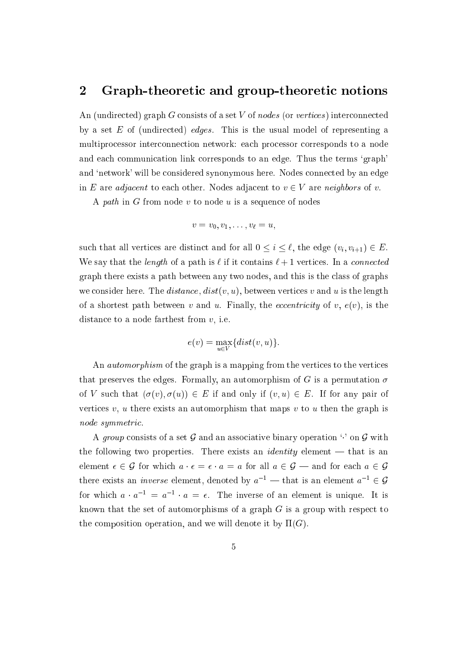### 2 Graph-theoretic and group-theoretic notions

An (undirected) graph G consists of a set V of nodes (or vertices) interconnected by a set  $E$  of (undirected) *edges*. This is the usual model of representing a multiprocessor interconnection network: each processor corresponds to a node and ea
h ommuni
ation link orresponds to an edge. Thus the terms `graph' and 'network' will be considered synonymous here. Nodes connected by an edge in E are *adjacent* to each other. Nodes adjacent to  $v \in V$  are *neighbors* of v.

A path in G from node  $v$  to node  $u$  is a sequence of nodes

$$
v = v_0, v_1, \ldots, v_\ell = u,
$$

such that all vertices are distinct and for all  $0 \leq i \leq \ell$ , the edge  $(v_i, v_{i+1}) \in E$ . We say that the *length* of a path is  $\ell$  if it contains  $\ell + 1$  vertices. In a *connected* graph there exists a path between any two nodes, and this is the lass of graphs we consider here. The *distance*,  $dist(v, u)$ , between vertices v and u is the length of a shortest path between v and u. Finally, the *eccentricity* of v,  $e(v)$ , is the distan
e to a node farthest from v, i.e.

$$
e(v) = \max_{u \in V} \{dist(v, u)\}.
$$

An *automorphism* of the graph is a mapping from the vertices to the vertices that preserves the edges. Formally, an automorphism of G is a permutation  $\sigma$ of V such that  $(\sigma(v), \sigma(u)) \in E$  if and only if  $(v, u) \in E$ . If for any pair of vertices  $v, u$  there exists an automorphism that maps  $v$  to  $u$  then the graph is node symmetri
.

A group consists of a set G and an associative binary operation  $\cdot$  on G with the following two properties. There exists an *identity* element  $-$  that is an element  $\epsilon \in \mathcal{G}$  for which  $a \cdot \epsilon = \epsilon \cdot a = a$  for all  $a \in \mathcal{G}$  — and for each  $a \in \mathcal{G}$ there exists an *inverse* element, denoted by  $a_{-}$   $\equiv$  that is an element  $a_{-} \in \mathcal{G}$ for which  $a \cdot a = a \cdot a = \epsilon$ . The inverse of an element is unique. It is known that the set of automorphisms of a graph  $G$  is a group with respect to the composition operation, and we will denote it by  $\Pi(G)$ .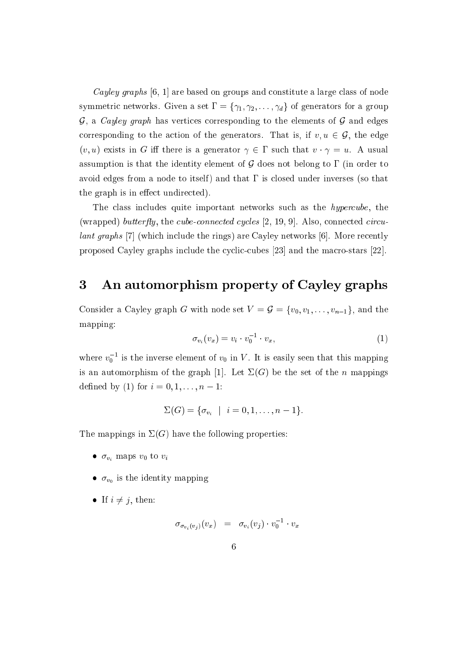Cayley graphs  $[6, 1]$  are based on groups and constitute a large class of node symmetric networks. Given a set  $\Gamma = {\gamma_1, \gamma_2, \ldots, \gamma_d}$  of generators for a group  $\mathcal{G}$ , a *Cayley graph* has vertices corresponding to the elements of  $\mathcal{G}$  and edges corresponding to the action of the generators. That is, if  $v, u \in \mathcal{G}$ , the edge  $(v, u)$  exists in G iff there is a generator  $\gamma \in \Gamma$  such that  $v \cdot \gamma = u$ . A usual assumption is that the identity element of  $\mathcal G$  does not belong to  $\Gamma$  (in order to avoid edges from a node to itself) and that  $\Gamma$  is closed under inverses (so that the graph is in effect undirected).

The class includes quite important networks such as the *hypercube*, the (wrapped) butterfly, the cube-connected cycles  $[2, 19, 9]$ . Also, connected circulant graphs [7] (which include the rings) are Cayley networks [6]. More recently proposed Cayley graphs include the cyclic-cubes  $[23]$  and the macro-stars  $[22]$ .

## 3 An automorphism property of Cayley graphs

Consider a Cayley graph G with node set  $V = \mathcal{G} = \{v_0, v_1, \ldots, v_{n-1}\}\$ , and the mapping:

$$
\sigma_{v_i}(v_x) = v_i \cdot v_0^{-1} \cdot v_x,\tag{1}
$$

where  $v_0$  – is the inverse element of  $v_0$  in V . It is easily seen that this mapping is an automorphism of the graph [1]. Let  $\Sigma(G)$  be the set of the n mappings defined by (1) for  $i = 0, 1, ..., n - 1$ :

$$
\Sigma(G) = \{ \sigma_{v_i} \mid i = 0, 1, \ldots, n-1 \}.
$$

The mappings in  $\Sigma(G)$  have the following properties:

- $\bullet$   $\sigma_{v_i}$  maps  $v_0$  to  $v_i$
- $\mathbf{v}_0$  is the identity mapping
- If  $i \neq j$ , then:

$$
\sigma_{\sigma_{v_i}(v_j)}(v_x) \;\; = \;\; \sigma_{v_i}(v_j) \cdot v_0^{-1} \cdot v_x
$$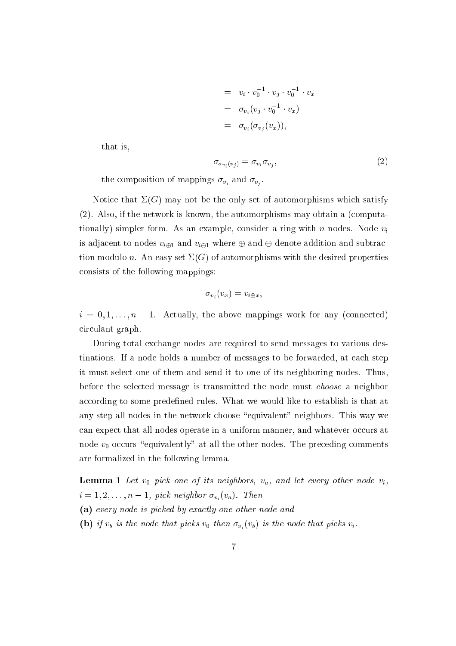$$
= v_i \cdot v_0^{-1} \cdot v_j \cdot v_0^{-1} \cdot v_x
$$
  

$$
= \sigma_{v_i}(v_j \cdot v_0^{-1} \cdot v_x)
$$
  

$$
= \sigma_{v_i}(\sigma_{v_j}(v_x)),
$$

that is,

$$
\sigma_{\sigma_{v_i}(v_j)} = \sigma_{v_i} \sigma_{v_j},\tag{2}
$$

the omposition of mappings vi and vj .

Notice that  $\Sigma(G)$  may not be the only set of automorphisms which satisfy (2). Also, if the network is known, the automorphisms may obtain a (
omputationally) simpler form. As an example, consider a ring with  $n$  nodes. Node  $v_i$ is adjacent to nodes  $v_{i\oplus 1}$  and  $v_{i\ominus 1}$  where  $\oplus$  and  $\ominus$  denote addition and subtraction modulo n. An easy set  $\Sigma(G)$  of automorphisms with the desired properties onsists of the following mappings:

$$
\sigma_{v_i}(v_x)=v_{i\oplus x},
$$

 $i = 0, 1, \ldots, n - 1$ . Actually, the above mappings work for any (connected) ir
ulant graph.

During total ex
hange nodes are required to send messages to various destinations. If a node holds a number of messages to be forwarded, at ea
h step it must sele
t one of them and send it to one of its neighboring nodes. Thus, before the sele
ted message is transmitted the node must hoose a neighbor according to some predefined rules. What we would like to establish is that at any step all nodes in the network choose "equivalent" neighbors. This way we can expect that all nodes operate in a uniform manner, and whatever occurs at node  $v_0$  occurs "equivalently" at all the other nodes. The preceding comments are formalized in the following lemma.

**Lemma 1** Let  $v_0$  pick one of its neighbors,  $v_a$ , and let every other node  $v_i$ ,  $i = 1, 2, \ldots, n - 1$ , pick neighbor  $\sigma_{v_i}(v_a)$ . Then

- (a) every node is pi
ked by exa
tly one other node and
- (b) if  $v_b$  is the node that picks  $v_0$  then  $\sigma_{v_i}(v_b)$  is the node that picks  $v_i$ .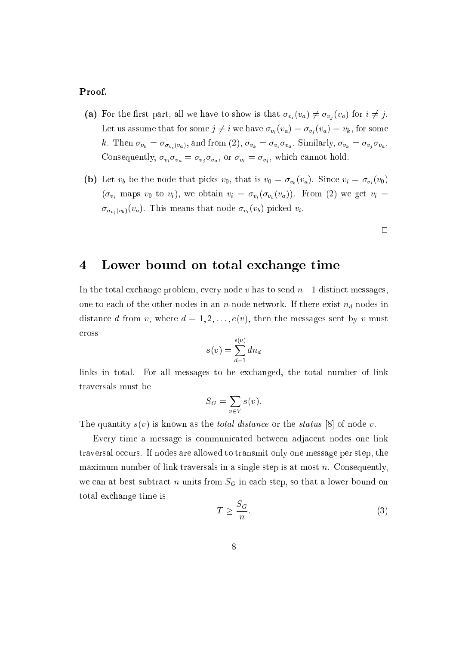#### Proof.

- (a) For the first part, all we have to show is that  $\sigma_{v_i}(v_a) \neq \sigma_{v_i}(v_a)$  for  $i \neq j$ . Let us assume that for some  $j \neq i$  we have  $\sigma_{v_i}(v_a) = \sigma_{v_j}(v_a) = v_k$ , for some k. Then vk <sup>=</sup> vi (va), and from (2), vk <sup>=</sup> viva . Similarly, vk <sup>=</sup> vj va .  $\alpha$  , viva  $\alpha_1$  ,  $\alpha_2$  ,  $\alpha_3$  ,  $\alpha_4$  ,  $\alpha_5$  ,  $\alpha_6$  ,  $\alpha_7$  ,  $\alpha_8$  ,  $\alpha_9$  ,  $\alpha_1$  ,  $\alpha_2$  ,  $\alpha_3$  ,  $\alpha_7$  ,  $\alpha_8$  ,  $\alpha_9$  ,  $\alpha_9$  ,  $\alpha_9$  ,  $\alpha_9$  ,  $\alpha_9$  ,  $\alpha_9$  ,  $\alpha_9$  ,  $\alpha_9$  ,  $\alpha_9$  ,  $\$
- (b) Let  $v_b$  be the node that picks  $v_0$ , that is  $v_0 = \sigma_{v_b}(v_a)$ . Since  $v_i = \sigma_{v_i}(v_0)$  $(\sigma_{v_i}$  maps  $v_0$  to  $v_i$ ), we obtain  $v_i = \sigma_{v_i}(\sigma_{v_b}(v_a))$ . From (2) we get  $v_i =$  $\langle v_i(v_b) \rangle \cdot u$ , the means that  $\langle v_i(v_b) \rangle$  pieces is  $\langle v_i \rangle$

 $\Box$ 

### 4 Lower bound on total ex
hange time

In the total exchange problem, every node v has to send  $n-1$  distinct messages, one to each of the other nodes in an n-node network. If there exist  $n_d$  nodes in distance d from v, where  $d = 1, 2, \ldots, e(v)$ , then the messages sent by v must ross

$$
s(v) = \sum_{d=1}^{e(v)} dn_d
$$

links in total. For all messages to be ex
hanged, the total number of link traversals must be

$$
S_G = \sum_{v \in V} s(v).
$$

The quantity  $s(v)$  is known as the *total distance* or the *status* [8] of node v.

Every time a message is ommuni
ated between adja
ent nodes one link traversal occurs. If nodes are allowed to transmit only one message per step, the maximum number of link traversals in a single step is at most n. Consequently, we can at best subtract n units from  $S<sub>G</sub>$  in each step, so that a lower bound on total ex
hange time is

$$
T \ge \frac{S_G}{n}.\tag{3}
$$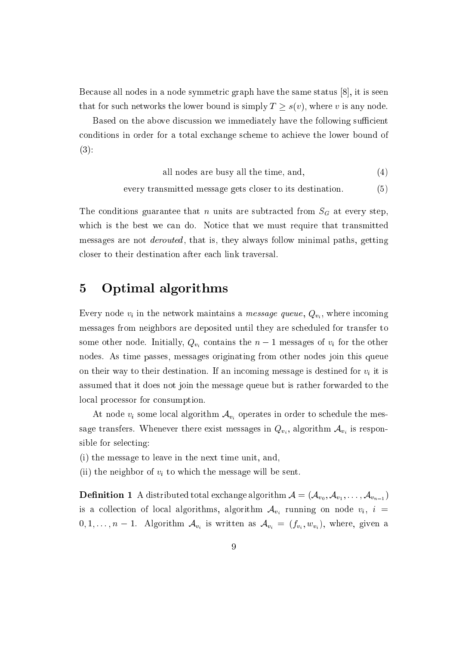Because all nodes in a node symmetric graph have the same status  $[8]$ , it is seen that for such networks the lower bound is simply  $T \geq s(v)$ , where v is any node.

Based on the above discussion we immediately have the following sufficient onditions in order for a total ex
hange s
heme to a
hieve the lower bound of  $(3)$ :

all nodes are busy all the time, and,  $(4)$ 

every transmitted message gets closer to its destination. (5)

The conditions guarantee that n units are subtracted from  $S_G$  at every step, which is the best we can do. Notice that we must require that transmitted messages are not *derouted*, that is, they always follow minimal paths, getting closer to their destination after each link traversal.

### 5 Optimal algorithms

 $\equiv$  ,  $\sim$  ,  $\sim$  ,  $\sim$  ,  $\sim$  , and the static matrix matrix and the static  $\sim$  ,  $\sim$   $v_i$  , where  $\sim$  and  $\sim$ messages from neighbors are deposited until they are s
heduled for transfer to some other node. Initially,  $Q_{v_i}$  contains the  $n-1$  messages of  $v_i$  for the other nodes. As time passes, messages originating from other nodes join this queue on their way to their destination. If an incoming message is destined for  $v_i$  it is assumed that it does not join the message queue but is rather forwarded to the local processor for consumption.

At node  $v_i$  some local algorithm  $\mathcal{A}_{v_i}$  operates in order to schedule the message transfers. Whenever the exist messages in  $\mathcal{O}$  is the  $\mathcal{A}$   $\mathcal{A}$  in  $\mathcal{O}$  , and in  $\mathcal{A}$  is the  $\mathcal{I}$ sible for selecting:

(i) the message to leave in the next time unit, and,

(ii) the neighbor of  $v_i$  to which the message will be sent.

 $\alpha$  . If an algorithm A distribution  $\alpha$  and  $\alpha$  algorithm A  $\alpha$  ,  $\alpha$  ,  $\alpha$  ,  $\alpha$  ,  $\alpha$  ,  $\alpha$  ,  $\alpha$  ,  $\alpha$ is a collection of local algorithms, algorithm  $\mathcal{A}_{v_i}$  running on node  $v_i$ ,  $i =$ <sup>0</sup>; <sup>1</sup>; : : : ; <sup>n</sup> 1. Algorithm Avi is written as Avi <sup>=</sup> (fvi ;wvi ), where, given <sup>a</sup>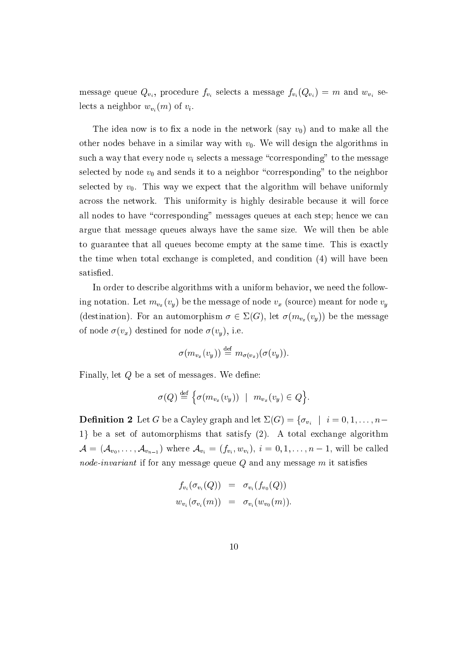, provide the selection  $\mathcal{P}(v_1)$  . The selection of  $\mathcal{P}(v_1)$  is a message function of  $\mathcal{P}(v_1)$  , we can define the set of  $\mathcal{P}(v_1)$ lects a neighbor  $w_{v_i}(m)$  of  $v_i$ .

The idea now is to fix a node in the network (say  $v_0$ ) and to make all the other nodes behave in a similar way with  $v_0$ . We will design the algorithms in such a way that every node  $v_i$  selects a message "corresponding" to the message selected by node  $v_0$  and sends it to a neighbor "corresponding" to the neighbor selected by  $v_0$ . This way we expect that the algorithm will behave uniformly across the network. This uniformity is highly desirable because it will force all nodes to have "corresponding" messages queues at each step; hence we can argue that message queues always have the same size. We will then be able to guarantee that all queues be
ome empty at the same time. This is exa
tly the time when total ex
hange is ompleted, and ondition (4) will have been satisfied.

In order to des
ribe algorithms with a uniform behavior, we need the following notation. Let  $m_{v_x}(v_y)$  be the message of node  $v_x$  (source) meant for node  $v_y$ (destination). For an automorphism  $\sigma \in \Sigma(G)$ , let  $\sigma(m_{v_x}(v_y))$  be the message of node  $\sigma(v_x)$  destined for node  $\sigma(v_y)$ , i.e.

$$
\sigma(m_{v_x}(v_y)) \stackrel{\text{def}}{=} m_{\sigma(v_x)}(\sigma(v_y)).
$$

Finally, let  $Q$  be a set of messages. We define:

$$
\sigma(Q) \stackrel{\text{def}}{=} \left\{ \sigma(m_{v_x}(v_y)) \mid m_{v_x}(v_y) \in Q \right\}.
$$

 $\mathcal{L} = \mathcal{L} \cup \mathcal{L} = \mathcal{L} \cup \mathcal{L}$  in and let  $\mathcal{L} = \{ \mathcal{L} \cup \{ \mathcal{L} \mid \mathcal{L} \mid \mathcal{L} \mid \mathcal{L} \mid \mathcal{L} \mid \mathcal{L} \mid \mathcal{L} \mid \mathcal{L} \mid \mathcal{L} \mid \mathcal{L} \mid \mathcal{L} \mid \mathcal{L} \mid \mathcal{L} \mid \mathcal{L} \mid \mathcal{L} \mid \mathcal{L} \mid \mathcal{L} \mid \mathcal{L} \mid \mathcal{L} \$ 1} be a set of automorphisms that satisfy (2). A total exchange algorithm <sup>A</sup> <sup>=</sup> (Av0 ; : : : ; Avn1 ) where Avi <sup>=</sup> (fvi ;wvi ), <sup>i</sup> <sup>=</sup> <sup>0</sup>; <sup>1</sup>; : : : ; <sup>n</sup> 1, will be alled node-invariant if for any message queue  $Q$  and any message  $m$  it satisfies

$$
f_{v_i}(\sigma_{v_i}(Q)) = \sigma_{v_i}(f_{v_0}(Q))
$$
  

$$
w_{v_i}(\sigma_{v_i}(m)) = \sigma_{v_i}(w_{v_0}(m)).
$$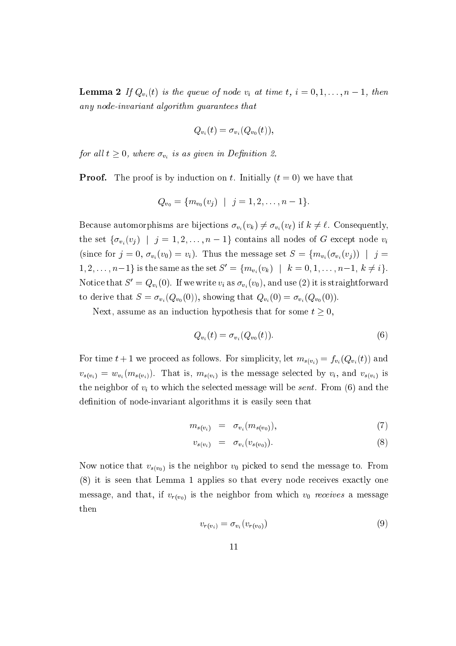**Lemma 2** If  $Q_{v_i}(t)$  is the queue of node  $v_i$  at time  $t, i = 0, 1, \ldots, n-1$ , then any node-invariant algorithm guarantees that

$$
Q_{v_i}(t) = \sigma_{v_i}(Q_{v_0}(t)),
$$

 $j$  and a set of  $\alpha$  is as as  $v_i$  are as given in  $\alpha$  -  $j$  and in Definition 2.

**Proof.** The proof is by induction on t. Initially  $(t = 0)$  we have that

$$
Q_{v_0} = \{m_{v_0}(v_j) \mid j = 1, 2, \ldots, n-1\}.
$$

Because automorphisms are bijections  $\sigma_{v_i}(v_k) \neq \sigma_{v_i}(v_\ell)$  if  $k \neq \ell$ . Consequently, the set  $\{\sigma_{v_i}(v_j) \mid j = 1, 2, \ldots, n-1\}$  contains all nodes of G except node  $v_i$ (since for  $j = 0$ ,  $\sigma_{v_i}(v_0) = v_i$ ). Thus the message set  $S = \{m_{v_i}(\sigma_{v_i}(v_j)) \mid j = i\}$  $1, 2, \ldots, n-1$  is the same as the set  $S' = \{m_{v_i}(v_k) \mid k = 0, 1, \ldots, n-1, k \neq i\}.$ Notice that  $S' = Q_{v_i}(0)$ . If we write  $v_i$  as  $\sigma_{v_i}(v_0)$ , and use (2) it is straightforward to derive that  $S = \sigma_{v_i}(Q_{v_0}(0))$ , showing that  $Q_{v_i}(0) = \sigma_{v_i}(Q_{v_0}(0))$ .

Next, assume as an induction hypothesis that for some  $t \geq 0$ ,

$$
Q_{v_i}(t) = \sigma_{v_i}(Q_{v_0}(t)).
$$
\n(6)

For time  $t+1$  we proceed as follows. For simplicity, let  $m_{s(v_i)} = f_{v_i}(Q_{v_i}(t))$  and  $v_{s(v_i)} = w_{v_i}(m_{s(v_i)})$ . That is,  $m_{s(v_i)}$  is the message selected by  $v_i$ , and  $v_{s(v_i)}$  is the neighbor of  $v_i$  to which the selected message will be *sent*. From (6) and the definition of node-invariant algorithms it is easily seen that

$$
m_{s(v_i)} = \sigma_{v_i}(m_{s(v_0)}), \qquad (7)
$$

$$
v_{s(v_i)} = \sigma_{v_i}(v_{s(v_0)}).
$$
\n
$$
(8)
$$

Now notice that  $v_{s(v_0)}$  is the neighbor  $v_0$  picked to send the message to. From (8) it is seen that Lemma 1 applies so that every node re
eives exa
tly one message, and that, if  $v_{r(v_0)}$  is the neighbor from which  $v_0$  receives a message then

$$
v_{r(v_i)} = \sigma_{v_i}(v_{r(v_0)})
$$
\n
$$
(9)
$$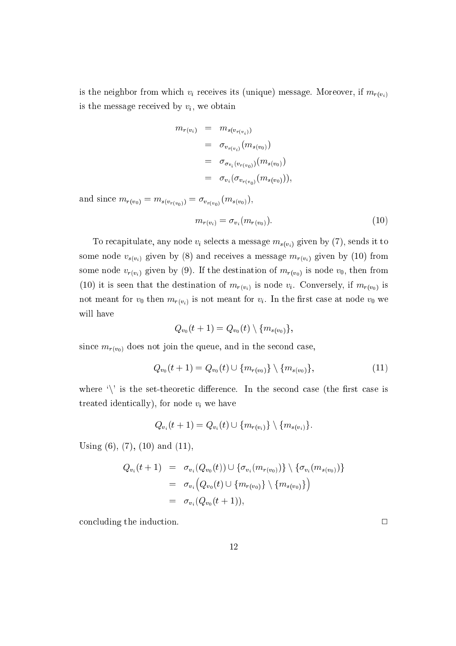is the neighbor from which  $v_i$  receives its (unique) message. Moreover, if  $m_{r(v_i)}$ is the message received by  $v_i$ , we obtain

$$
m_{r(v_i)} = m_{s(v_{r(v_i)})}
$$
  
=  $\sigma_{v_{r(v_i)}}(m_{s(v_0)})$   
=  $\sigma_{\sigma_{v_i}(v_{r(v_0)})}(m_{s(v_0)})$   
=  $\sigma_{v_i}(\sigma_{v_{r(v_0)}}(m_{s(v_0)})),$ 

 $v(v_0)$   $\frac{\partial (v_r(v_0))}{\partial (v_0(v_0))}$   $\frac{\partial (v_0(v_0))}{\partial (v_0(v_0))}$ 

$$
m_{r(v_i)} = \sigma_{v_i}(m_{r(v_0)}).
$$
\n(10)

To recapitulate, any node  $v_i$  selects a message  $m_{s(v_i)}$  given by (7), sends it to some node  $v_{s(v_i)}$  given by (8) and receives a message  $m_{r(v_i)}$  given by (10) from some node  $v_{r(v_i)}$  given by (9). If the destination of  $m_{r(v_0)}$  is node  $v_0$ , then from (10) it is seen that the destination of  $m_{r(v_i)}$  is node  $v_i$ . Conversely, if  $m_{r(v_0)}$  is not meant for  $v_0$  then  $m_{r(v_i)}$  is not meant for  $v_i$ . In the first case at node  $v_0$  we will have

$$
Q_{v_0}(t+1) = Q_{v_0}(t) \setminus \{m_{s(v_0)}\},
$$

since  $m_{r(v_0)}$  does not join the queue, and in the second case,

$$
Q_{v_0}(t+1) = Q_{v_0}(t) \cup \{m_{r(v_0)}\} \setminus \{m_{s(v_0)}\},\tag{11}
$$

where  $\langle \rangle$  is the set-theoretic difference. In the second case (the first case is treated identically), for node  $v_i$  we have

$$
Q_{v_i}(t+1) = Q_{v_i}(t) \cup \{m_{r(v_i)}\} \setminus \{m_{s(v_i)}\}.
$$

Using  $(6)$ ,  $(7)$ ,  $(10)$  and  $(11)$ ,

$$
Q_{v_i}(t+1) = \sigma_{v_i}(Q_{v_0}(t)) \cup \{\sigma_{v_i}(m_{r(v_0)})\} \setminus \{\sigma_{v_i}(m_{s(v_0)})\}
$$
  
=  $\sigma_{v_i}(Q_{v_0}(t) \cup \{m_{r(v_0)}\} \setminus \{m_{s(v_0)}\})$   
=  $\sigma_{v_i}(Q_{v_0}(t+1)),$ 

concluding the induction.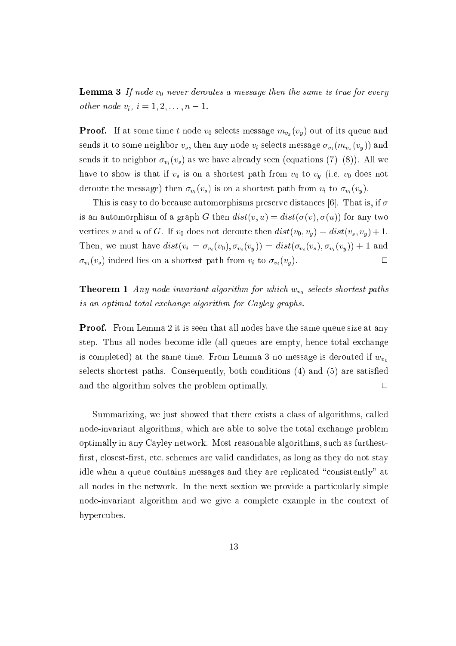**Lemma 3** If node  $v_0$  never deroutes a message then the same is true for every other node  $v_i, i = 1, 2, ..., n - 1$ .

**Proof.** If at some time t node  $v_0$  selects message  $m_{v_x}(v_y)$  out of its queue and sends it to some neighbor  $v_s$ , then any node  $v_i$  selects message  $\sigma_{v_i}(m_{v_x}(v_y))$  and sends it to neighbor  $\sigma_{v_i}(v_s)$  as we have already seen (equations (7)-(8)). All we have to show is that if  $v_s$  is on a shortest path from  $v_0$  to  $v_y$  (i.e.  $v_0$  does not deroute the message) then  $\sigma_{v_i}(v_s)$  is on a shortest path from  $v_i$  to  $\sigma_{v_i}(v_y)$ .

This is easy to do because automorphisms preserve distances [6]. That is, if  $\sigma$ is an automorphism of a graph G then  $dist(v, u) = dist(\sigma(v), \sigma(u))$  for any two vertices v and u of G. If  $v_0$  does not deroute then  $dist(v_0, v_y) = dist(v_s, v_y) + 1$ . Then, we must have  $dist(v_i = \sigma_{v_i}(v_0), \sigma_{v_i}(v_y)) = dist(\sigma_{v_i}(v_s), \sigma_{v_i}(v_y)) + 1$  and  $\sigma_{v_i}(v_s)$  indeed lies on a shortest path from  $v_i$  to  $\sigma_{v_i}(v_y)$ .

**Theorem 1** Any node-invariant algorithm for which  $w_{v_0}$  selects shortest paths is an optimal total ex
hange algorithm for Cayley graphs.

**Proof.** From Lemma 2 it is seen that all nodes have the same queue size at any step. Thus all nodes be
ome idle (all queues are empty, hen
e total ex
hange is completed) at the same time. From Lemma 3 no message is derouted if  $w_{v_0}$ selects shortest paths. Consequently, both conditions (4) and (5) are satisfied and the algorithm solves the problem optimally.  $\Box$ 

Summarizing, we just showed that there exists a class of algorithms, called node-invariant algorithms, whi
h are able to solve the total ex
hange problem optimally in any Cayley network. Most reasonable algorithms, su
h as furthest first, closest-first, etc. schemes are valid candidates, as long as they do not stay idle when a queue contains messages and they are replicated "consistently" at all nodes in the network. In the next section we provide a particularly simple node-invariant algorithm and we give a omplete example in the ontext of hypercubes.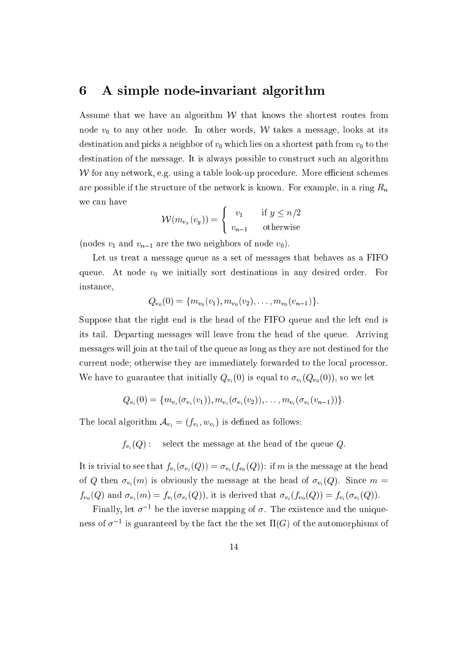### 6 A simple node-invariant algorithm

Assume that we have an algorithm  $W$  that knows the shortest routes from node  $v_0$  to any other node. In other words, W takes a message, looks at its destination and picks a neighbor of  $v_0$  which lies on a shortest path from  $v_0$  to the destination of the message. It is always possible to construct such an algorithm W for any network, e.g. using a table look-up procedure. More efficient schemes are possible if the structure of the network is known. For example, in a ring  $R_n$ we an have - -

$$
\mathcal{W}(m_{v_x}(v_y)) = \begin{cases} v_1 & \text{if } y \le n/2 \\ v_{n-1} & \text{otherwise} \end{cases}
$$

(nodes  $v_1$  and  $v_{n-1}$  are the two neighbors of node  $v_0$ ).

Let us treat a message queue as a set of messages that behaves as a FIFO queue. At node  $v_0$  we initially sort destinations in any desired order. For instan
e,

$$
Q_{v_0}(0) = \{m_{v_0}(v_1), m_{v_0}(v_2), \ldots, m_{v_0}(v_{n-1})\}.
$$

Suppose that the right end is the head of the FIFO queue and the left end is its tail. Departing messages will leave from the head of the queue. Arriving messages will join at the tail of the queue as long as they are not destined for the urrent node; otherwise they are immediately forwarded to the lo
al pro
essor. We have to guarantee that initially  $Q_{v_i}(0)$  is equal to  $\sigma_{v_i}(Q_{v_0}(0))$ , so we let

$$
Q_{v_i}(0) = \{m_{v_i}(\sigma_{v_i}(v_1)), m_{v_i}(\sigma_{v_i}(v_2)), \ldots, m_{v_i}(\sigma_{v_i}(v_{n-1}))\}.
$$

The lo
al algorithm Avi <sup>=</sup> (fvi ;wvi ) is dened as follows:

 $f_{v_i}(Q)$ : select the message at the head of the queue Q.

It is trivial to see that  $f_{v_i}(\sigma_{v_i}(Q)) = \sigma_{v_i}(f_{v_0}(Q))$ : if m is the message at the head of Q then  $\sigma_{v_i}(m)$  is obviously the message at the head of  $\sigma_{v_i}(Q)$ . Since  $m =$  $f_{v_0}(Q)$  and  $\sigma_{v_i}(m) = f_{v_i}(\sigma_{v_i}(Q))$ , it is derived that  $\sigma_{v_i}(f_{v_0}(Q)) = f_{v_i}(\sigma_{v_i}(Q))$ .

 ${\bf r}$  many, let  $o^{-1}$  be the inverse mapping of  $o$ . The existence and the unique- $\frac{1}{10}$  is guaranteed by the fact the the set  $\frac{1}{10}$  of the automorphisms of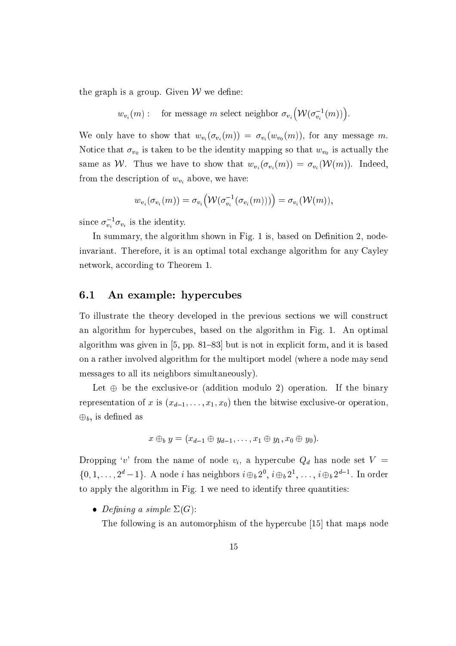the graph is a group. Given  $W$  we define:

$$
w_{v_i}(m)
$$
: for message m select neighbor  $\sigma_{v_i}(\mathcal{W}(\sigma_{v_i}^{-1}(m)))$ .

We only have to show that  $w_{v_i}(\sigma_{v_i}(m)) = \sigma_{v_i}(w_{v_0}(m))$ , for any message m. is taken to be the identity mapping so that we constructed the identity mapping  $v_0$  are written that will read same as W. Thus we have to show that  $w_{v_i}(\sigma_{v_i}(m)) = \sigma_{v_i}(\mathcal{W}(m))$ . Indeed, from the description of  $w_{v_i}$  above, we have:

$$
w_{v_i}(\sigma_{v_i}(m)) = \sigma_{v_i}(\mathcal{W}(\sigma_{v_i}^{-1}(\sigma_{v_i}(m)))) = \sigma_{v_i}(\mathcal{W}(m)),
$$

since  $\sigma_{v_i} \sigma_{v_i}$  is the identity.

In summary, the algorithm shown in Fig. 1 is, based on Definition 2, nodeinvariant. Therefore, it is an optimal total ex
hange algorithm for any Cayley network, according to Theorem 1.

#### 6.1 An example: hyper
ubes

To illustrate the theory developed in the previous se
tions we will onstru
t an algorithm for hypercubes, based on the algorithm in Fig. 1. An optimal algorithm was given in  $[5, pp. 81–83]$  but is not in explicit form, and it is based on a rather involved algorithm for the multiport model (where a node may send messages to all its neighbors simultaneously).

Let  $\oplus$  be the exclusive-or (addition modulo 2) operation. If the binary representation of x is  $(x_{d-1}, \ldots, x_1, x_0)$  then the bitwise exclusive-or operation,  $\oplus_b$ , is defined as

$$
x \oplus_b y = (x_{d-1} \oplus y_{d-1}, \ldots, x_1 \oplus y_1, x_0 \oplus y_0).
$$

Dropping 'v' from the name of node  $v_i$ , a hypercube  $Q_d$  has node set  $V =$  $\{0, 1, \ldots, 2\}$  –  $1$  and a neighbors  $\ell \oplus_b 2\ell$  ,  $\ell \oplus_b 2\ell$  ,  $\ldots, \ell \oplus_b 2\ell$  . In order to apply the algorithm in Fig. 1 we need to identify three quantities:

• Defining a simple  $\Sigma(G)$ :

The following is an automorphism of the hypercube [15] that maps node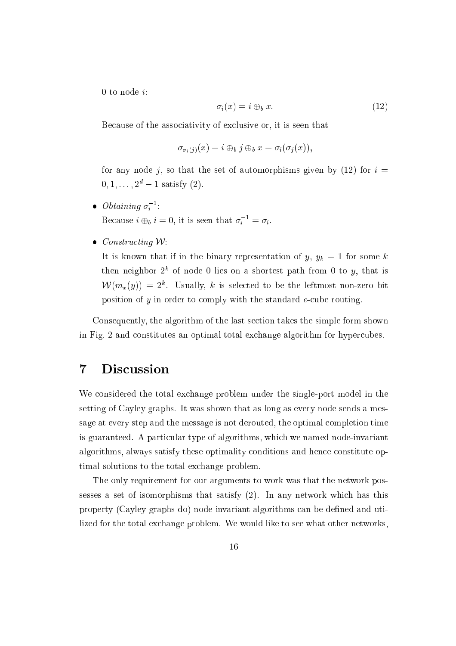0 to node  $i$ :

$$
\sigma_i(x) = i \oplus_b x. \tag{12}
$$

Be
ause of the asso
iativity of ex
lusive-or, it is seen that

$$
\sigma_{\sigma_i(j)}(x) = i \oplus_b j \oplus_b x = \sigma_i(\sigma_j(x)),
$$

for any node j, so that the set of automorphisms given by  $(12)$  for  $i =$  $0, 1, \ldots, 2^d - 1$  satisfy  $(2)$ .

- $\bullet$  Untaining  $\sigma_i$ : Because  $i \oplus_b i = 0$ , it is seen that  $\sigma_i = \sigma_i$ .
- $\bullet$  Constructing W:

It is known that if in the binary representation of  $y, y_k = 1$  for some k then heighbor  $2^{\circ}$  of hode  $0$  lies on a shortest path from 0 to  $y$ , that is  $V(V(m_x, y)) = Z^*$ . Usually, k is selected to be the leftmost non-zero bit position of  $y$  in order to comply with the standard  $e$ -cube routing.

Consequently, the algorithm of the last se
tion takes the simple form shown in Fig. 2 and onstitutes an optimal total ex
hange algorithm for hyper
ubes.

## 7 Dis
ussion

We considered the total exchange problem under the single-port model in the setting of Cayley graphs. It was shown that as long as every node sends a message at every step and the message is not derouted, the optimal completion time is guaranteed. A particular type of algorithms, which we named node-invariant algorithms, always satisfy these optimality onditions and hen
e onstitute optimal solutions to the total ex
hange problem.

The only requirement for our arguments to work was that the network possesses a set of isomorphisms that satisfy (2). In any network whi
h has this property (Cayley graphs do) node invariant algorithms an be dened and utilized for the total ex
hange problem. We would like to see what other networks,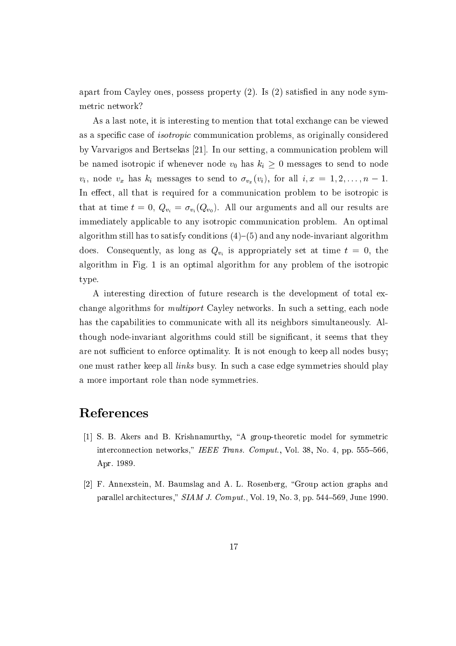apart from Cayley ones, possess property  $(2)$ . Is  $(2)$  satisfied in any node symmetri network?

As a last note, it is interesting to mention that total exchange can be viewed as a specific case of *isotropic* communication problems, as originally considered by Varvarigos and Bertsekas [21]. In our setting, a communication problem will be named isotropic if whenever node  $v_0$  has  $k_i \geq 0$  messages to send to node  $v_i$ , node  $v_x$  has  $k_i$  messages to send to  $\sigma_{v_x}(v_i)$ , for all  $i, x = 1, 2, \ldots, n - 1$ . In effect, all that is required for a communication problem to be isotropic is that at time  $t = 0$ ,  $Q_{v_i} = \sigma_{v_i} (Q_{v_0})$ . All our arguments and all our results are immediately applicable to any isotropic communication problem. An optimal algorithm still has to satisfy conditions  $(4)$ – $(5)$  and any node-invariant algorithm is a long as long as long as  $\mathbf{v}_i$  as a set at time the set at time that the  $\mathbf{v}_i$ algorithm in Fig. 1 is an optimal algorithm for any problem of the isotropi type.

A interesting direction of future research is the development of total exchange algorithms for *multiport* Cayley networks. In such a setting, each node has the capabilities to communicate with all its neighbors simultaneously. Although node-invariant algorithms could still be significant, it seems that they are not sufficient to enforce optimality. It is not enough to keep all nodes busy; one must rather keep all *links* busy. In such a case edge symmetries should play a more important role than node symmetries.

### Referen
es

- [1] S. B. Akers and B. Krishnamurthy, "A group-theoretic model for symmetric interconnection networks," IEEE Trans. Comput., Vol. 38, No. 4, pp. 555–566. Apr. 1989.
- [2] F. Annexstein, M. Baumslag and A. L. Rosenberg, "Group action graphs and parallel architectures,"  $SIM$  J. Comput., Vol. 19, No. 3, pp. 544–569, June 1990.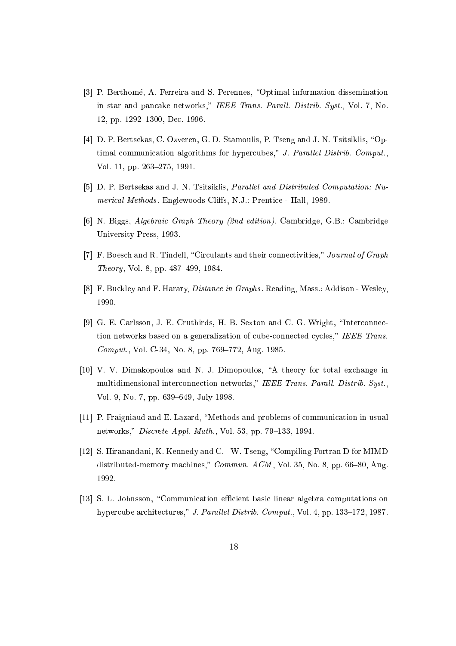- [3] P. Berthomé, A. Ferreira and S. Perennes, "Optimal information dissemination in star and pancake networks," IEEE Trans. Parall. Distrib. Syst., Vol. 7, No. 12, pp. 1292-1300, Dec. 1996.
- [4] D. P. Bertsekas, C. Ozveren, G. D. Stamoulis, P. Tseng and J. N. Tsitsiklis, "Optimal communication algorithms for hypercubes," J. Parallel Distrib. Comput., Vol. 11, pp. 263-275, 1991.
- [5] D. P. Bertsekas and J. N. Tsitsiklis, *Parallel and Distributed Computation: Nu*merical Methods. Englewoods Cliffs, N.J.: Prentice - Hall, 1989.
- [6] N. Biggs, *Algebraic Graph Theory (2nd edition)*. Cambridge, G.B.: Cambridge University Press, 1993.
- [7] F. Boesch and R. Tindell, "Circulants and their connectivities," Journal of Graph *Theory*, Vol. 8, pp.  $487-499$ , 1984.
- [8] F. Buckley and F. Harary, *Distance in Graphs*. Reading, Mass.: Addison Wesley, 1990.
- [9] G. E. Carlsson, J. E. Cruthirds, H. B. Sexton and C. G. Wright, "Interconnection networks based on a generalization of cube-connected cycles," IEEE Trans. Comput., Vol. C-34, No. 8, pp.  $769-772$ , Aug. 1985.
- [10] V. V. Dimakopoulos and N. J. Dimopoulos, "A theory for total exchange in multidimensional interconnection networks," IEEE Trans. Parall. Distrib. Syst., Vol. 9, No. 7, pp. 639-649, July 1998.
- [11] P. Fraigniaud and E. Lazard, "Methods and problems of communication in usual networks," *Discrete Appl. Math.*, Vol. 53, pp. 79–133, 1994.
- [12] S. Hiranandani, K. Kennedy and C. W. Tseng, "Compiling Fortran D for MIMD distributed-memory machines," Commun.  $ACM$ , Vol. 35, No. 8, pp. 66-80, Aug. 1992.
- [13] S. L. Johnsson, "Communication efficient basic linear algebra computations on hypercube architectures," J. Parallel Distrib. Comput., Vol. 4, pp. 133-172, 1987.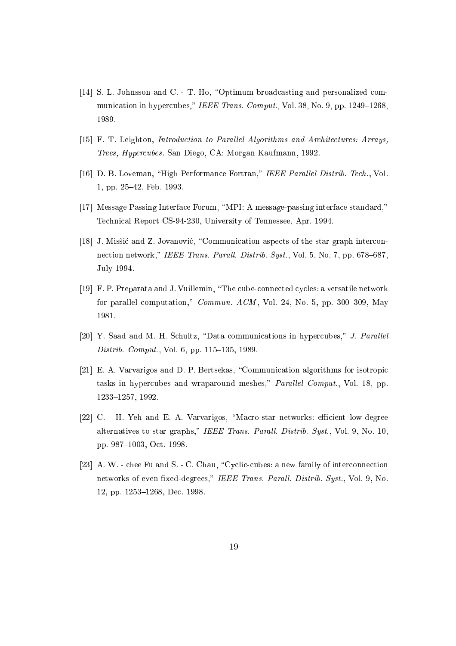- [14] S. L. Johnsson and C. T. Ho, "Optimum broadcasting and personalized communication in hypercubes," IEEE Trans. Comput., Vol. 38, No. 9, pp. 1249–1268. 1989.
- [15] F. T. Leighton, *Introduction to Parallel Algorithms and Architectures: Arrays*, Trees, Hyper
ubes . San Diego, CA: Morgan Kaufmann, 1992.
- [16] D. B. Loveman, "High Performance Fortran," IEEE Parallel Distrib. Tech., Vol. 1, pp. 25-42, Feb. 1993.
- [17] Message Passing Interface Forum, "MPI: A message-passing interface standard," Te
hni
al Report CS-94-230, University of Tennessee, Apr. 1994.
- [18] J. Missté and Z. Jovanović, "Communication aspects of the star graph interconnection network," IEEE Trans. Parall. Distrib. Syst., Vol. 5, No. 7, pp. 678–687, July 1994.
- [19] F. P. Preparata and J. Vuillemin, "The cube-connected cycles: a versatile network for parallel computation," *Commun. ACM*, Vol. 24, No. 5, pp. 300-309, May 1981.
- [20] Y. Saad and M. H. Schultz, "Data communications in hypercubes," J. Parallel Distrib. Comput., Vol. 6, pp.  $115{-}135$ , 1989.
- [21] E. A. Varvarigos and D. P. Bertsekas, "Communication algorithms for isotropic tasks in hypercubes and wraparound meshes," Parallel Comput., Vol. 18, pp. 1233-1257, 1992.
- [22] C. H. Yeh and E. A. Varvarigos, "Macro-star networks: efficient low-degree alternatives to star graphs," IEEE Trans. Parall. Distrib. Syst., Vol. 9, No. 10, pp. 987-1003, Oct. 1998.
- [23] A. W. chee Fu and S. C. Chau, "Cyclic-cubes: a new family of interconnection networks of even fixed-degrees," IEEE Trans. Parall. Distrib. Syst., Vol. 9, No. 12, pp. 1253-1268, Dec. 1998.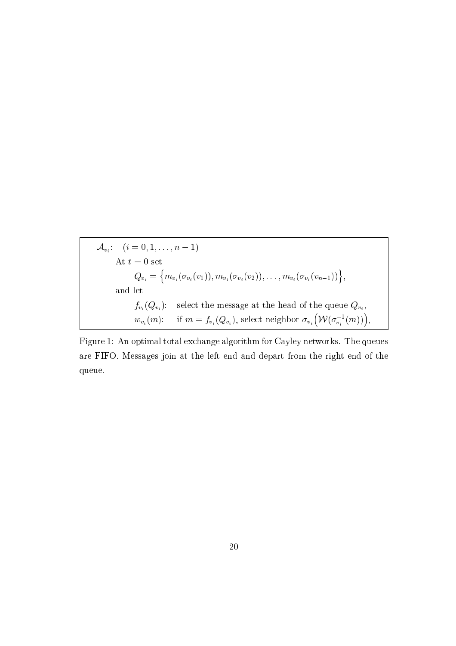$$
\mathcal{A}_{v_i}: \quad (i = 0, 1, \dots, n - 1)
$$
\n
$$
\text{At } t = 0 \text{ set}
$$
\n
$$
Q_{v_i} = \left\{ m_{v_i}(\sigma_{v_i}(v_1)), m_{v_i}(\sigma_{v_i}(v_2)), \dots, m_{v_i}(\sigma_{v_i}(v_{n-1})) \right\},
$$
\n
$$
\text{and let}
$$
\n
$$
f_{v_i}(Q_{v_i}): \quad \text{select the message at the head of the queue } Q_{v_i},
$$
\n
$$
w_{v_i}(m): \quad \text{if } m = f_{v_i}(Q_{v_i}), \text{ select neighbor } \sigma_{v_i}(\mathcal{W}(\sigma_{v_i}^{-1}(m))),
$$

Figure 1: An optimal total ex
hange algorithm for Cayley networks. The queues are FIFO. Messages join at the left end and depart from the right end of the queue.